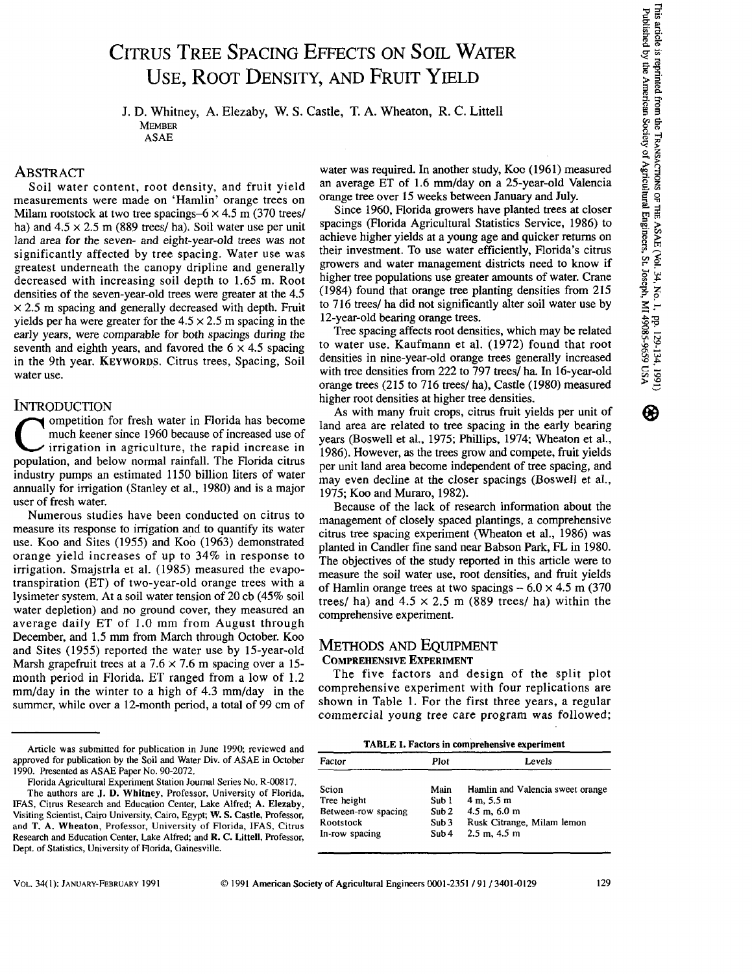# CITRUS TREE SPACING EFFECTS ON SOIL WATER USE, ROOT DENSITY, AND FRUIT YIELD

J. D. Whitney, A. Elezaby, W. S. Castle, T. A. Wheaton, R. C. Littell **MEMBER** ASAE

## **ABSTRACT**

Soil water content, root density, and fruit yield measurements were made on 'Hamlin' orange trees on Milam rootstock at two tree spacings- $6 \times 4.5$  m (370 trees/ ha) and  $4.5 \times 2.5$  m (889 trees/ ha). Soil water use per unit land area for the seven- and eight-year-old trees was not significantly affected by tree spacing. Water use was greatest underneath the canopy dripline and generally decreased with increasing soil depth to 1.65 m. Root densities of the seven-year-old trees were greater at the 4.5  $\times$  2.5 m spacing and generally decreased with depth. Fruit yields per ha were greater for the  $4.5 \times 2.5$  m spacing in the early years, were comparable for both spacings during the seventh and eighth years, and favored the  $6 \times 4.5$  spacing in the 9th year. KEYWORDS. Citrus trees, Spacing, Soil water use.

INTRODUCTION<br>ompetition for fresh water in Florida has become C ompetition for fresh water in Florida has become<br>much keener since 1960 because of increased use of<br>irrigation in agriculture, the rapid increase in<br>population and below normal rainfall. The Elorida citrus much keener since 1960 because of increased use of  $\gamma$  irrigation in agriculture, the rapid increase in population, and below normal rainfall. The Florida citrus industry pumps an estimated 1150 billion liters of water annually for irrigation (Stanley et al., 1980) and is a major user of fresh water.

Numerous studies have been conducted on citrus to measure its response to irrigation and to quantify its water use. Koo and Sites (1955) and Koo (1963) demonstrated orange yield increases of up to 34% in response to irrigation. Smajstrla et al. (1985) measured the evapotranspiration (ET) of two-year-old orange trees with a lysimeter system. At a soil water tension of 20 cb (45% soil water depletion) and no ground cover, they measured an average daily ET of 1.0 mm from August through December, and 1.5 mm from March through October. Koo and Sites ( 1955) reported the water use by 15-year-old Marsh grapefruit trees at a  $7.6 \times 7.6$  m spacing over a 15month period in Florida. ET ranged from a low of 1.2 mm/day in the winter to a high of 4.3 mm/day in the summer, while over a 12-month period, a total of 99 cm of water was required. In another study, Koo (1961) measured an average ET of 1.6 mm/day on a 25-year-old Valencia orange tree over 15 weeks between January and July.

Since 1960, Florida growers have planted trees at closer spacings (Florida Agricultural Statistics Service, 1986) to achieve higher yields at a young age and quicker returns on their investment. To use water efficiently, Florida's citrus growers and water management districts need to know if higher tree populations use greater amounts of water. Crane (1984) found that orange tree planting densities from 215 to 716 trees/ ha did not significantly alter soil water use by 12-year-old bearing orange trees.

Tree spacing affects root densities, which may be related to water use. Kaufmann et al. (1972) found that root densities in nine-year-old orange trees generally increased with tree densities from 222 to 797 trees/ ha. In 16-year-old orange trees (215 to 716 trees/ ha), Castle (1980) measured higher root densities at higher tree densities.

As with many fruit crops, citrus fruit yields per unit of land area are related to tree spacing in the early bearing years (Boswell et al., 1975; Phillips, 1974; Wheaton et al., 1986). However, as the trees grow and compete, fruit yields per unit land area become independent of tree spacing, and may even decline at the closer spacings (Boswell et al., 1975; Koo and Muraro, 1982).

Because of the lack of research information about the management of closely spaced plantings, a comprehensive citrus tree spacing experiment (Wheaton et al., 1986) was planted in Candler fine sand near Babson Park, FL in 1980. The objectives of the study reported in this article were to measure the soil water use, root densities, and fruit yields of Hamlin orange trees at two spacings  $-6.0 \times 4.5$  m (370) trees/ ha) and  $4.5 \times 2.5$  m (889 trees/ ha) within the comprehensive experiment.

# METHODS AND EQUIPMENT COMPREHENSIVE EXPERIMENT

The five factors and design of the split plot comprehensive experiment with four replications are shown in Table 1. For the first three years, a regular commercial young tree care program was followed;

TABLE I. Factors in comprehensive experiment

| Factor              | Plot             | Levels                           |  |  |  |  |
|---------------------|------------------|----------------------------------|--|--|--|--|
| Scion               | Main             | Hamlin and Valencia sweet orange |  |  |  |  |
| Tree height         | Sub 1            | 4 m. 5.5 m                       |  |  |  |  |
| Between-row spacing | Sub2             | $4.5$ m, $6.0$ m                 |  |  |  |  |
| Rootstock           | Sub <sub>3</sub> | Rusk Citrange, Milam lemon       |  |  |  |  |
| In-row spacing      | Sub4             | $2.5$ m, $4.5$ m                 |  |  |  |  |

Article was submitted for publication in June 1990; reviewed and approved for publication by the Soil and Water Div. of ASAE in October 1990. Presented as ASAE Paper No. 90-2072.

Florida Agricultural Experiment Station Journal Series No. R-00817.

The authors are J. D. Whitney, Professor, University of Florida, IFAS, Citrus Research and Education Center, Lake Alfred; A. Elezaby, Visiting Scientist, Cairo University, Cairo, Egypt; W. S. Castle, Professor, and T. A. Wheaton, Professor, University of Florida, IFAS, Citrus Research and Education Center, Lake Alfred; and R. C. Littell, Professor, Dept. of Statistics, University of Florida, Gainesville.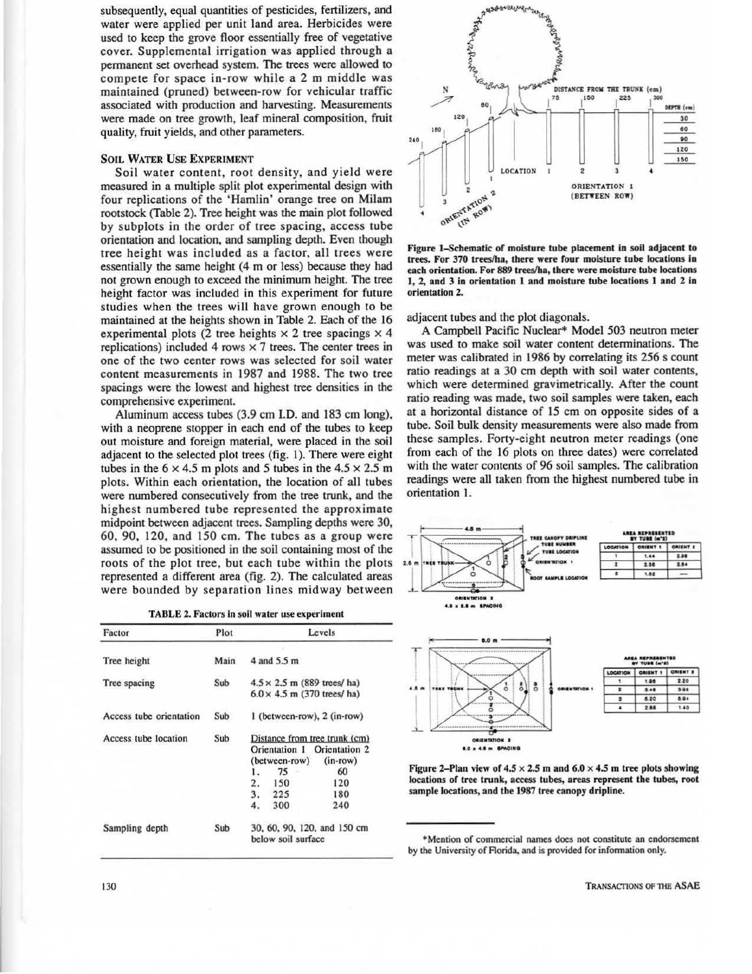subsequently, equal quantities of pesticides, fertilizers, and water were applied per unit land area. Herbicides were used to keep the grove floor essentially free of vegetative cover. Supplemental irrigation was applied through a permanent set overhead system. The trees were allowed to compete for space in-row while a 2 m middle was maintained (pruned) between-row for vehicular traffic associated with production and harvesting. Measurements were made on tree growth, leaf mineral composition, fruit quality, fruit yields, and other parameters.

#### SOIL WATER USE EXPERIMENT

Soil water content, root density, and yield were measured in a multiple split plot experimental design with four replications of the 'Hamlin' orange tree on Milam rootstock (Table 2). Tree height was the main plot followed by subplots in the order of tree spacing, access tube orientation and location, and sampling depth. Even though tree height was included as a factor, all trees were essentially the same height (4 m or less) because they had not grown enough to exceed the minimum height. The tree height factor was included in this experiment for future studies when the trees will have grown enough to be maintained at the heights shown in Table 2. Each of the 16 experimental plots (2 tree heights  $\times$  2 tree spacings  $\times$  4 replications) included 4 rows  $\times$  7 trees. The center trees in one of the two center rows was selected for soil water content measurements in 1987 and 1988. The two tree spacings were the lowest and highest tree densities in the comprehensive experiment.

Aluminum access tubes (3.9 cm l.D. and 183 cm long), with a neoprene stopper in each end of the tubes to keep out moisture and foreign material, were placed in the soil adjacent to the selected plot trees (fig. 1). There were eight tubes in the  $6 \times 4.5$  m plots and 5 tubes in the  $4.5 \times 2.5$  m plots. Within each orientation, the location of all tubes were numbered consecutively from the tree trunk, and the highest numbered tube represented the approximate midpoint between adjacent trees. Sampling depths were 30, 60, 90, 120, and 150 cm. The tubes as a group were assumed to be positioned in the soil containing most of the roots of the plot tree, but each tube within the plots represented a different area (fig. 2). The calculated areas were bounded by separation lines midway between

| Factor                  | Plot | Levels                                                                                                                                                                    |  |  |  |  |
|-------------------------|------|---------------------------------------------------------------------------------------------------------------------------------------------------------------------------|--|--|--|--|
| Tree height             | Main | 4 and 5.5 m                                                                                                                                                               |  |  |  |  |
| Tree spacing            | Sub  | $4.5 \times 2.5$ m (889 trees/ ha)<br>$6.0 \times 4.5$ m (370 trees/ ha)                                                                                                  |  |  |  |  |
| Access tube orientation | Sub  | 1 (between-row), 2 (in-row)                                                                                                                                               |  |  |  |  |
| Access tube location    | Sub  | Distance from tree trunk (cm)<br>Orientation 1 Orientation 2<br>$(in-row)$<br>(between-row)<br>75<br>60<br>1.<br>2.<br>120<br>150<br>3.<br>180<br>225<br>300<br>240<br>4. |  |  |  |  |
| Sampling depth          | Sub  | 30, 60, 90, 120, and 150 cm<br>below soil surface                                                                                                                         |  |  |  |  |



Figure 1-Schematic of moisture tube placement in soil adjacent to trees. For 370 trees/ha, there were four moisture tube locations in each orientation. For 889 trees/ha, there were moisture tube locations 1, 2, and 3 in orientation I and moisture tube locations 1 and 2 in orientation 2.

adjacent tubes and the plot diagonals.

A Campbell Pacific Nuclear\* Model 503 neutron meter was used to make soil water content detenninations. The meter was calibrated in 1986 by correlating its 256 s count ratio readings at a 30 cm depth with soil water contents, which were determined gravimetrically. After the count ratio reading was made, two soil samples were taken, each at a horizontal distance of 15 cm on opposite sides of a tube. Soil bulk density measurements were also made from these samples. Forty-eight neutron meter readings (one from each of the 16 plots on three dates) were correlated with the water contents of 96 soil samples. The calibration readings were all taken from the bighest numbered tube in orientation I.



Figure 2-Plan view of  $4.5 \times 2.5$  m and  $6.0 \times 4.5$  m tree plots showing locations of tree trunk, access tubes, areas represent the tubes, root sample locations, and the 1987 tree canopy dripline.

<sup>•</sup>Mention of commercial names does not constitute an endorsement by the University of Florida. and is provided for information only.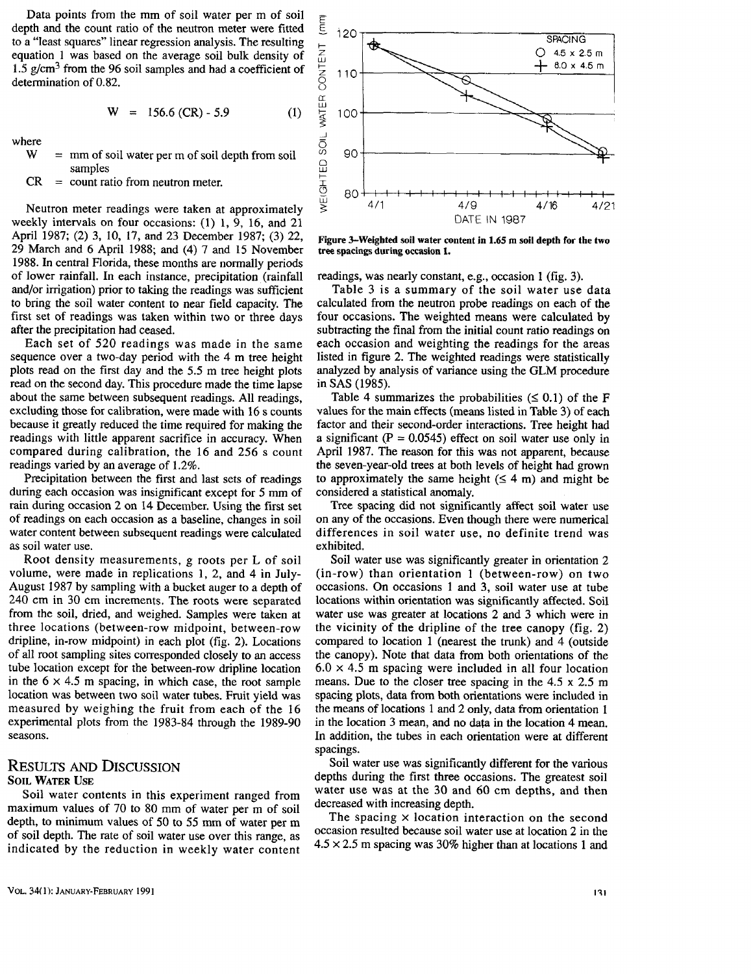Data points from the mm of soil water per m of soil depth and the count ratio of the neutron meter were fitted to a "least squares" linear regression analysis. The resulting equation 1 was based on the average soil bulk density of 1.5  $g/cm<sup>3</sup>$  from the 96 soil samples and had a coefficient of determination of 0.82.

$$
W = 156.6 (CR) - 5.9 \tag{1}
$$

where<br>W

- $=$  mm of soil water per m of soil depth from soil samples
- $CR = count ratio from neutron meter.$

Neutron meter readings were taken at approximately weekly intervals on four occasions: (1) l, 9, 16, and 21 April 1987; (2) 3, 10, 17, and 23 December 1987; (3) 22, 29 March and 6 April 1988; and (4) 7 and 15 November 1988. In central Florida, these months are normally periods of lower rainfall. In each instance, precipitation (rainfall and/or irrigation) prior to taking the readings was sufficient to bring the soil water content to near field capacity. The first set of readings was taken within two or three days after the precipitation had ceased.

Each set of 520 readings was made in the same sequence over a two-day period with the 4 m tree height plots read on the first day and the *5.5* m tree height plots read on the second day. This procedure made the time lapse about the same between subsequent readings. All readings, excluding those for calibration, were made with 16 s counts because it greatly reduced the time required for making the readings with little apparent sacrifice in accuracy. When compared during calibration, the 16 and 256 s count readings varied by an average of 1.2%.

Precipitation between the first and last sets of readings during each occasion was insignificant except for *5* mm of rain during occasion 2 on 14 December. Using the first set of readings on each occasion as a baseline, changes in soil water content between subsequent readings were calculated as soil water use.

Root density measurements, g roots per L of soil volume, were made in replications 1, 2, and 4 in July-August 1987 by sampling with a bucket auger to a depth of 240 cm in 30 cm increments. The roots were separated from the soil, dried, and weighed. Samples were taken at three locations (between-row midpoint, between-row dripline, in-row midpoint) in each plot (fig. 2). Locations of all root sampling sites corresponded closely to an access tube location except for the between-row dripline location in the  $6 \times 4.5$  m spacing, in which case, the root sample location was between two soil water tubes. Fruit yield was measured by weighing the fruit from each of the 16 experimental plots from the 1983-84 through the 1989-90 seasons.

### RESULTS AND DISCUSSION SOIL WATER USE

Soil water contents in this experiment ranged from maximum values of 70 to 80 mm of water per m of soil depth, to minimum values of 50 to 55 mm of water per m of soil depth. The rate of soil water use over this range, as indicated by the reduction in weekly water content



Figure 3-Weighted soil water content in 1.65 m soil depth for the two tree spacings during occasion 1.

readings, was nearly constant, e.g., occasion 1 (fig. 3).

Table 3 is a summary of the soil water use data calculated from the neutron probe readings on each of the four occasions. The weighted means were calculated by subtracting the final from the initial count ratio readings on each occasion and weighting the readings for the areas listed in figure 2. The weighted readings were statistically analyzed by analysis of variance using the GLM procedure in SAS ( 1985).

Table 4 summarizes the probabilities  $( \leq 0.1)$  of the F values for the main effects (means listed in Table 3) of each factor and their second-order interactions. Tree height had a significant  $(P = 0.0545)$  effect on soil water use only in April 1987. The reason for this was not apparent, because the seven-year-old trees at both levels of height had grown to approximately the same height  $(\leq 4 \text{ m})$  and might be considered a statistical anomaly.

Tree spacing did not significantly affect soil water use on any of the occasions. Even though there were numerical differences in soil water use, no definite trend was exhibited.

Soil water use was significantly greater in orientation 2 (in-row) than orientation I (between-row) on two occasions. On occasions 1 and 3, soil water use at tube locations within orientation was significantly affected. Soil water use was greater at locations 2 and 3 which were in the vicinity of the dripline of the tree canopy (fig. 2) compared to location 1 (nearest the trunk) and 4 (outside the canopy). Note that data from both orientations of the  $6.0 \times 4.5$  m spacing were included in all four location means. Due to the closer tree spacing in the 4.5 x 2.5 m spacing plots, data from both orientations were included in the means of locations 1 and 2 only, data from orientation 1 in the location 3 mean, and no data in the location 4 mean. In addition, the tubes in each orientation were at different spacings.

Soil water use was significantly different for the various depths during the first three occasions. The greatest soil water use was at the 30 and 60 cm depths, and then decreased with increasing depth.

The spacing  $\times$  location interaction on the second occasion resulted because soil water use at location 2 in the  $4.5 \times 2.5$  m spacing was 30% higher than at locations 1 and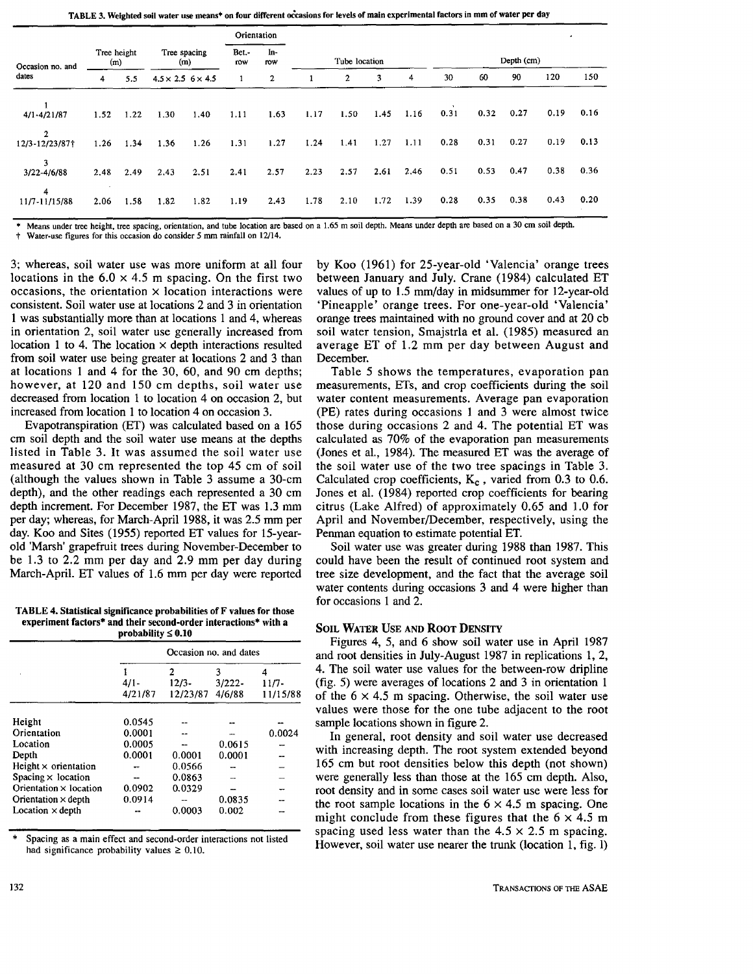TABLE 3. Weighted soil water use means+ on four different occasions for levels of main experimental factors in mm of water per day

|                           |                    |      |                                 |      | Orientation                |              |      |                |      |      |            |      | ٠    |      |      |
|---------------------------|--------------------|------|---------------------------------|------|----------------------------|--------------|------|----------------|------|------|------------|------|------|------|------|
| Occasion no. and<br>dates | Tree height<br>(m) |      | Tree spacing<br>(m)             |      | In-<br>Bet.-<br>row<br>row |              |      | Tube location  |      |      | Depth (cm) |      |      |      |      |
|                           | 4                  | 5.5  | $4.5 \times 2.5$ 6 $\times$ 4.5 |      | 1                          | $\mathbf{2}$ |      | $\overline{2}$ | 3    | 4    | 30         | 60   | 90   | 120  | 150  |
| $4/1 - 4/21/87$           | 1.52               | 1.22 | 1.30                            | 1.40 | 1.11                       | 1.63         | 1.17 | 1.50           | 1.45 | 1.16 | 0.31       | 0.32 | 0.27 | 0.19 | 0.16 |
| 2<br>12/3-12/23/87†       | 1.26               | 1.34 | 1.36                            | 1.26 | 1.31                       | 1.27         | 1.24 | 1.41           | 1.27 | 1.11 | 0.28       | 0.31 | 0.27 | 0.19 | 0.13 |
| 3<br>3/22-4/6/88          | 2.48               | 2.49 | 2.43                            | 2.51 | 2.41                       | 2.57         | 2.23 | 2.57           | 2.61 | 2.46 | 0.51       | 0.53 | 0.47 | 0.38 | 0.36 |
| 4<br>11/7-11/15/88        | 2.06               | 1.58 | 1.82                            | 1.82 | 1.19                       | 2.43         | 1.78 | 2.10           | 1.72 | 1.39 | 0.28       | 0.35 | 0.38 | 0.43 | 0.20 |

Means under tree height, tree spacing, orientation, and tube location are based on a 1.65 m soil depth. Means under depth are based on a 30 cm soil depth.

Water-use figures for this occasion do consider 5 mm rainfall on 12/14.

3; whereas, soil water use was more uniform at all four locations in the  $6.0 \times 4.5$  m spacing. On the first two occasions, the orientation  $\times$  location interactions were consistent. Soil water use at locations 2 and 3 in orientation 1 was substantially more than at locations 1 and 4, whereas in orientation 2, soil water use generally increased from location 1 to 4. The location  $\times$  depth interactions resulted from soil water use being greater at locations 2 and 3 than at locations 1 and 4 for the 30, 60, and 90 cm depths; however, at 120 and 150 cm depths, soil water use decreased from location 1 to location 4 on occasion 2, but increased from location 1 to location 4 on occasion 3.

Evapotranspiration (ET) was calculated based on a 165 cm soil depth and the soil water use means at the depths listed in Table 3. It was assumed the soil water use measured at 30 cm represented the top 45 cm of soil (although the values shown in Table 3 assume a 30-cm depth), and the other readings each represented a 30 cm depth increment. For December 1987, the ET was 1.3 mm per day; whereas, for March-April 1988, it was 2.5 mm per day. Koo and Sites (1955) reported ET values for 15-yearold 'Marsh' grapefruit trees during November-December to be 1.3 to 2.2 mm per day and 2.9 mm per day during March-April. ET values of 1.6 mm per day were reported

TABLE 4. Statistical significance probabilities of F values for those experiment factors\* and their second-order interactions• with a probability  $\leq 0.10$ 

|                             | Occasion no. and dates |                          |                          |                     |  |  |  |
|-----------------------------|------------------------|--------------------------|--------------------------|---------------------|--|--|--|
|                             | $4/1-$<br>4/21/87      | 2<br>$12/3-$<br>12/23/87 | 3<br>$3/222 -$<br>4/6/88 | $11/7-$<br>11/15/88 |  |  |  |
| Height                      | 0.0545                 |                          |                          |                     |  |  |  |
| Orientation                 | 0.0001                 |                          |                          | 0.0024              |  |  |  |
| Location                    | 0.0005                 |                          | 0.0615                   |                     |  |  |  |
| Depth                       | 0.0001                 | 0.0001                   | 0.0001                   |                     |  |  |  |
| Height $\times$ orientation |                        | 0.0566                   |                          |                     |  |  |  |
| Spacing $\times$ location   | --                     | 0.0863                   |                          |                     |  |  |  |
| Orientation × location      | 0.0902                 | 0.0329                   |                          |                     |  |  |  |
| Orientation $\times$ depth  | 0.0914                 |                          | 0.0835                   |                     |  |  |  |
| Location $\times$ depth     |                        | 0.0003                   | 0.002                    |                     |  |  |  |

Spacing as a main effect and second-order interactions not listed had significance probability values  $\geq 0.10$ .

by Koo (1961) for 25-year-old 'Valencia' orange trees between January and July. Crane (1984) calculated ET values of up to 1.5 mm/day in midsummer for 12-year-old 'Pineapple' orange trees. For one-year-old 'Valencia' orange trees maintained with no ground cover and at 20 cb soil water tension, Smajstrla et al. (1985) measured an average ET of 1.2 mm per day between August and December.

Table 5 shows the temperatures, evaporation pan measurements, ETs, and crop coefficients during the soil water content measurements. Average pan evaporation (PE) rates during occasions 1 and 3 were almost twice those during occasions 2 and 4. The potential ET was calculated as 70% of the evaporation pan measurements (Jones et al., 1984). The measured ET was the average of the soil water use of the two tree spacings in Table 3. Calculated crop coefficients,  $K_c$ , varied from 0.3 to 0.6. Jones et al. (1984) reported crop coefficients for bearing citrus (Lake Alfred) of approximately 0.65 and 1.0 for April and November/December, respectively, using the Penman equation to estimate potential ET.

Soil water use was greater during 1988 than 1987. This could have been the result of continued root system and tree size development, and the fact that the average soil water contents during occasions 3 and 4 were higher than for occasions 1 and 2.

#### SOIL WATER USE AND ROOT DENSITY

Figures 4, 5, and 6 show soil water use in April 1987 and root densities in July-August 1987 in replications 1, 2, 4. The soil water use values for the between-row dripline (fig. 5) were averages of locations 2 and 3 in orientation 1 of the  $6 \times 4.5$  m spacing. Otherwise, the soil water use values were those for the one tube adjacent to the root sample locations shown in figure 2.

In general, root density and soil water use decreased with increasing depth. The root system extended beyond 165 cm but root densities below this depth (not shown) were generally less than those at the 165 cm depth. Also, root density and in some cases soil water use were less for the root sample locations in the  $6 \times 4.5$  m spacing. One might conclude from these figures that the  $6 \times 4.5$  m spacing used less water than the  $4.5 \times 2.5$  m spacing. However, soil water use nearer the trunk (location 1, fig. 1)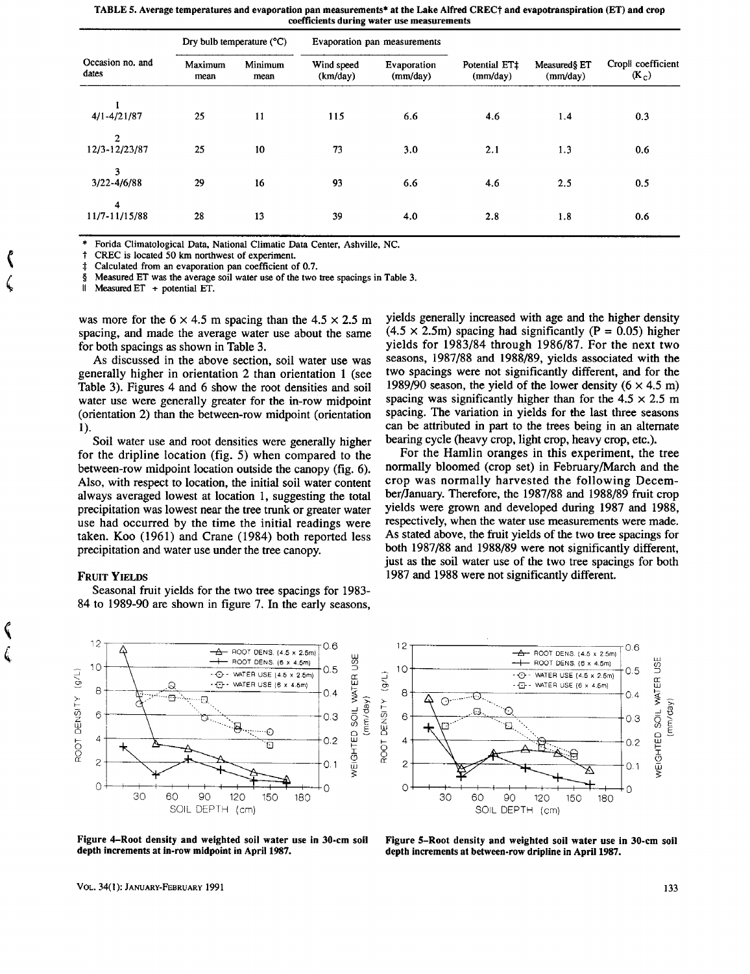| Occasion no. and<br>dates |                 | Dry bulb temperature $(^{\circ}C)$ |                        | Evaporation pan measurements |                           |                          |                               |
|---------------------------|-----------------|------------------------------------|------------------------|------------------------------|---------------------------|--------------------------|-------------------------------|
|                           | Maximum<br>mean | Minimum<br>mean                    | Wind speed<br>(km/day) | Evaporation<br>(mm/day)      | Potential ET‡<br>(mm/day) | Measured§ ET<br>(mm/day) | Cropll coefficient<br>$(K_c)$ |
| $4/1 - 4/21/87$           | 25              | 11                                 | 115                    | 6.6                          | 4.6                       | 1.4                      | 0.3                           |
| 2<br>12/3-12/23/87        | 25              | 10                                 | 73                     | 3.0                          | 2.1                       | 1.3                      | 0.6                           |
| 3<br>$3/22 - 4/6/88$      | 29              | 16                                 | 93                     | 6.6                          | 4.6                       | 2.5                      | 0.5                           |
| 4<br>11/7-11/15/88        | 28              | 13                                 | 39                     | 4.0                          | 2.8                       | 1.8                      | 0.6                           |

TABLE 5. Average temperatures and evaporation pan measurements\* at the Lake Alfred CRECt and evapotranspiration (ET) and crop coefficients during water use measurements

Forida Climatological Data, National Climatic Data Center, Ashville, NC. CREC is located 50 km northwest of experiment.

Calculated from an evaporation pan coefficient of 0.7.

§ Measured ET was the average soil water use of the two tree spacings in Table 3.<br>  $\parallel$  Measured ET  $\pm$  potential ET

Measured  $ET$  + potential  $ET$ .

was more for the  $6 \times 4.5$  m spacing than the  $4.5 \times 2.5$  m spacing, and made the average water use about the same for both spacings as shown in Table 3.

As discussed in the above section, soil water use was generally higher in orientation 2 than orientation 1 (see Table 3). Figures 4 and 6 show the root densities and soil water use were generally greater for the in-row midpoint (orientation 2) than the between-row midpoint (orientation 1).

Soil water use and root densities were generally higher for the dripline location (fig. 5) when compared to the between-row midpoint location outside the canopy (fig. 6). Also, with respect to location, the initial soil water content always averaged lowest at location 1, suggesting the total precipitation was lowest near the tree trunk or greater water use had occurred by the time the initial readings were taken. Koo (1961) and Crane (1984) both reported less precipitation and water use under the tree canopy.

#### FRUIT YIELDS

' '

Seasonal fruit yields for the two tree spacings for 1983- 84 to 1989-90 are shown in figure 7. In the early seasons,

yields generally increased with age and the higher density  $(4.5 \times 2.5$ m) spacing had significantly (P = 0.05) higher yields for 1983/84 through 1986/87. For the next two seasons, 1987/88 and 1988/89, yields associated with the two spacings were not significantly different, and for the 1989/90 season, the yield of the lower density  $(6 \times 4.5 \text{ m})$ spacing was significantly higher than for the  $4.5 \times 2.5$  m spacing. The variation in yields for the last three seasons can be attributed in part to the trees being in an alternate bearing cycle (heavy crop, light crop, heavy crop, etc.).

For the Hamlin oranges in this experiment, the tree normally bloomed (crop set) in February/March and the crop was normally harvested the following December/January. Therefore, the 1987/88 and 1988/89 fruit crop yields were grown and developed during 1987 and 1988, respectively, when the water use measurements were made. As stated above, the fruit yields of the two tree spacings for both 1987/88 and 1988/89 were not significantly different, just as the soil water use of the two tree spacings for both 1987 and 1988 were not significantly different.





Figure 4-Root density and weighted soil water use in 30-cm soil depth increments at in-row midpoint in April 1987.

Figure 5-Root density and weighted soil water use in 30-cm soil depth increments at between-row dripline in April 1987.

VOL. 34(1): JANUARY-FEBRUARY 1991